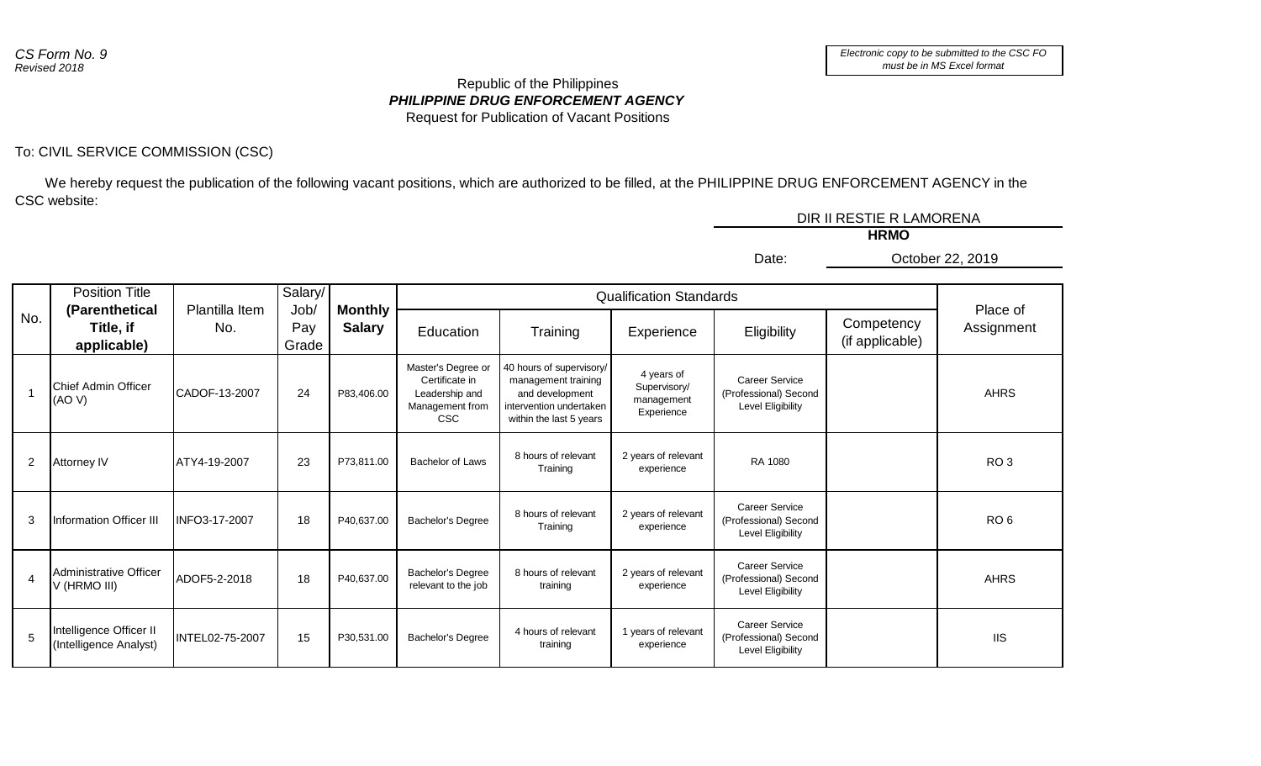## *PHILIPPINE DRUG ENFORCEMENT AGENCY* Republic of the Philippines Request for Publication of Vacant Positions

## To: CIVIL SERVICE COMMISSION (CSC)

 We hereby request the publication of the following vacant positions, which are authorized to be filled, at the PHILIPPINE DRUG ENFORCEMENT AGENCY in the CSC website:

|                |                                                           |                 |                      |               |                                                                                         |                                                                                                                          |                                                        |                                                                     | DIR II RESTIE R LAMORENA      |                        |
|----------------|-----------------------------------------------------------|-----------------|----------------------|---------------|-----------------------------------------------------------------------------------------|--------------------------------------------------------------------------------------------------------------------------|--------------------------------------------------------|---------------------------------------------------------------------|-------------------------------|------------------------|
|                |                                                           |                 |                      |               |                                                                                         |                                                                                                                          |                                                        |                                                                     | <b>HRMO</b>                   |                        |
|                |                                                           |                 |                      |               |                                                                                         |                                                                                                                          |                                                        | Date:                                                               |                               | October 22, 2019       |
|                | <b>Position Title</b><br>Plantilla Item<br>(Parenthetical | Salary/         | <b>Monthly</b>       |               | <b>Qualification Standards</b>                                                          |                                                                                                                          |                                                        |                                                                     |                               |                        |
| No.            | Title, if<br>applicable)                                  | No.             | Job/<br>Pay<br>Grade | <b>Salary</b> | Education                                                                               | Training                                                                                                                 | Experience                                             | Eligibility                                                         | Competency<br>(if applicable) | Place of<br>Assignment |
|                | Chief Admin Officer<br>(AO V)                             | CADOF-13-2007   | 24                   | P83,406.00    | Master's Degree or<br>Certificate in<br>Leadership and<br>Management from<br><b>CSC</b> | 40 hours of supervisory/<br>management training<br>and development<br>intervention undertaken<br>within the last 5 years | 4 years of<br>Supervisory/<br>management<br>Experience | <b>Career Service</b><br>(Professional) Second<br>Level Eligibility |                               | <b>AHRS</b>            |
| 2              | <b>Attorney IV</b>                                        | ATY4-19-2007    | 23                   | P73,811.00    | Bachelor of Laws                                                                        | 8 hours of relevant<br>Training                                                                                          | 2 years of relevant<br>experience                      | RA 1080                                                             |                               | RO <sub>3</sub>        |
| 3              | Information Officer III                                   | INFO3-17-2007   | 18                   | P40,637.00    | Bachelor's Degree                                                                       | 8 hours of relevant<br>Training                                                                                          | 2 years of relevant<br>experience                      | <b>Career Service</b><br>(Professional) Second<br>Level Eligibility |                               | RO <sub>6</sub>        |
| $\overline{4}$ | Administrative Officer<br>V (HRMO III)                    | ADOF5-2-2018    | 18                   | P40,637.00    | <b>Bachelor's Degree</b><br>relevant to the job                                         | 8 hours of relevant<br>training                                                                                          | 2 years of relevant<br>experience                      | <b>Career Service</b><br>(Professional) Second<br>Level Eligibility |                               | <b>AHRS</b>            |
| 5              | Intelligence Officer II<br>(Intelligence Analyst)         | INTEL02-75-2007 | 15                   | P30,531.00    | <b>Bachelor's Degree</b>                                                                | 4 hours of relevant<br>training                                                                                          | 1 years of relevant<br>experience                      | <b>Career Service</b><br>(Professional) Second<br>Level Eligibility |                               | <b>IIS</b>             |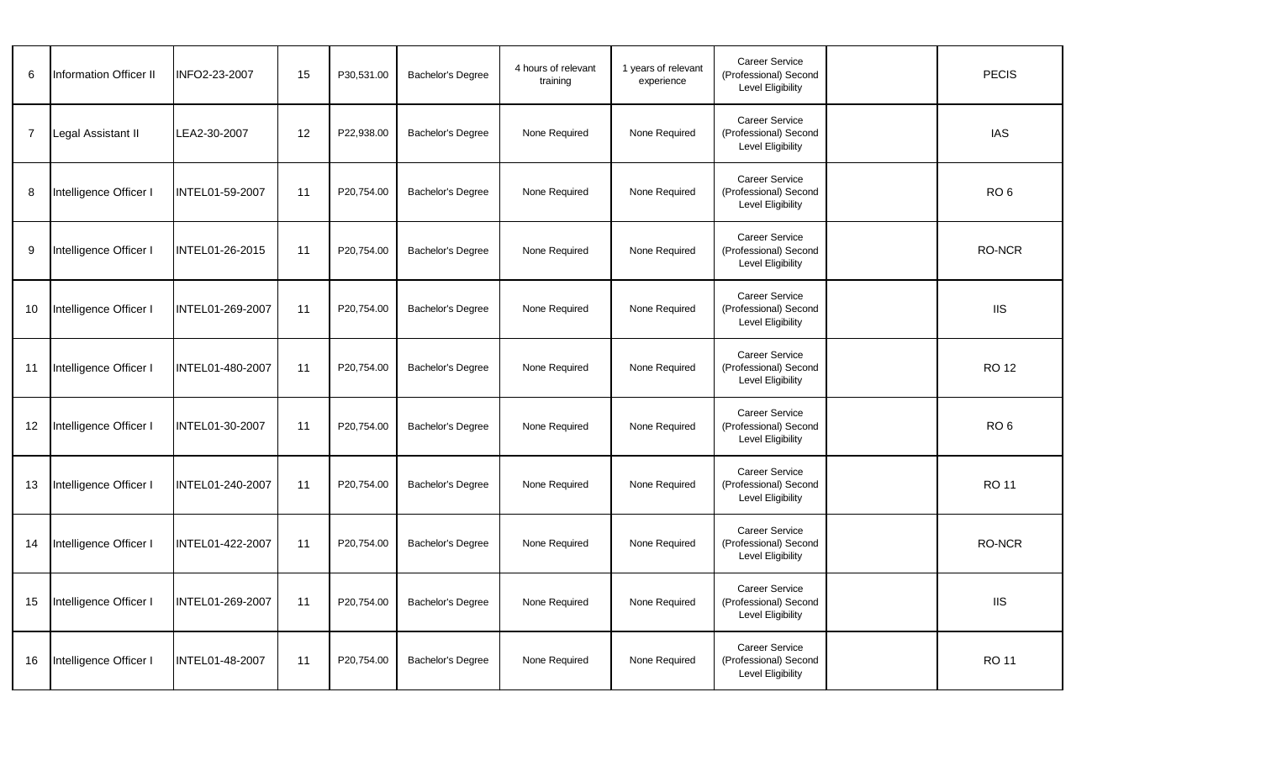| 6              | <b>Information Officer II</b> | INFO2-23-2007    | 15 | P30,531.00 | <b>Bachelor's Degree</b> | 4 hours of relevant<br>training | 1 years of relevant<br>experience | <b>Career Service</b><br>(Professional) Second<br>Level Eligibility        | <b>PECIS</b>    |
|----------------|-------------------------------|------------------|----|------------|--------------------------|---------------------------------|-----------------------------------|----------------------------------------------------------------------------|-----------------|
| $\overline{7}$ | Legal Assistant II            | LEA2-30-2007     | 12 | P22,938.00 | <b>Bachelor's Degree</b> | None Required                   | None Required                     | Career Service<br>(Professional) Second<br><b>Level Eligibility</b>        | <b>IAS</b>      |
| 8              | Intelligence Officer I        | INTEL01-59-2007  | 11 | P20,754.00 | <b>Bachelor's Degree</b> | None Required                   | None Required                     | Career Service<br>(Professional) Second<br><b>Level Eligibility</b>        | RO <sub>6</sub> |
| 9              | Intelligence Officer I        | INTEL01-26-2015  | 11 | P20,754.00 | Bachelor's Degree        | None Required                   | None Required                     | Career Service<br>(Professional) Second<br><b>Level Eligibility</b>        | RO-NCR          |
| 10             | Intelligence Officer I        | INTEL01-269-2007 | 11 | P20,754.00 | Bachelor's Degree        | None Required                   | None Required                     | <b>Career Service</b><br>(Professional) Second<br>Level Eligibility        | <b>IIS</b>      |
| 11             | Intelligence Officer I        | INTEL01-480-2007 | 11 | P20,754.00 | <b>Bachelor's Degree</b> | None Required                   | None Required                     | <b>Career Service</b><br>(Professional) Second<br>Level Eligibility        | <b>RO 12</b>    |
| 12             | Intelligence Officer I        | INTEL01-30-2007  | 11 | P20,754.00 | <b>Bachelor's Degree</b> | None Required                   | None Required                     | Career Service<br>(Professional) Second<br><b>Level Eligibility</b>        | RO <sub>6</sub> |
| 13             | Intelligence Officer I        | INTEL01-240-2007 | 11 | P20,754.00 | <b>Bachelor's Degree</b> | None Required                   | None Required                     | Career Service<br>(Professional) Second<br><b>Level Eligibility</b>        | <b>RO 11</b>    |
| 14             | Intelligence Officer I        | INTEL01-422-2007 | 11 | P20,754.00 | Bachelor's Degree        | None Required                   | None Required                     | <b>Career Service</b><br>(Professional) Second<br><b>Level Eligibility</b> | <b>RO-NCR</b>   |
| 15             | Intelligence Officer I        | INTEL01-269-2007 | 11 | P20,754.00 | Bachelor's Degree        | None Required                   | None Required                     | <b>Career Service</b><br>(Professional) Second<br>Level Eligibility        | <b>IIS</b>      |
| 16             | Intelligence Officer I        | INTEL01-48-2007  | 11 | P20,754.00 | <b>Bachelor's Degree</b> | None Required                   | None Required                     | <b>Career Service</b><br>(Professional) Second<br>Level Eligibility        | <b>RO 11</b>    |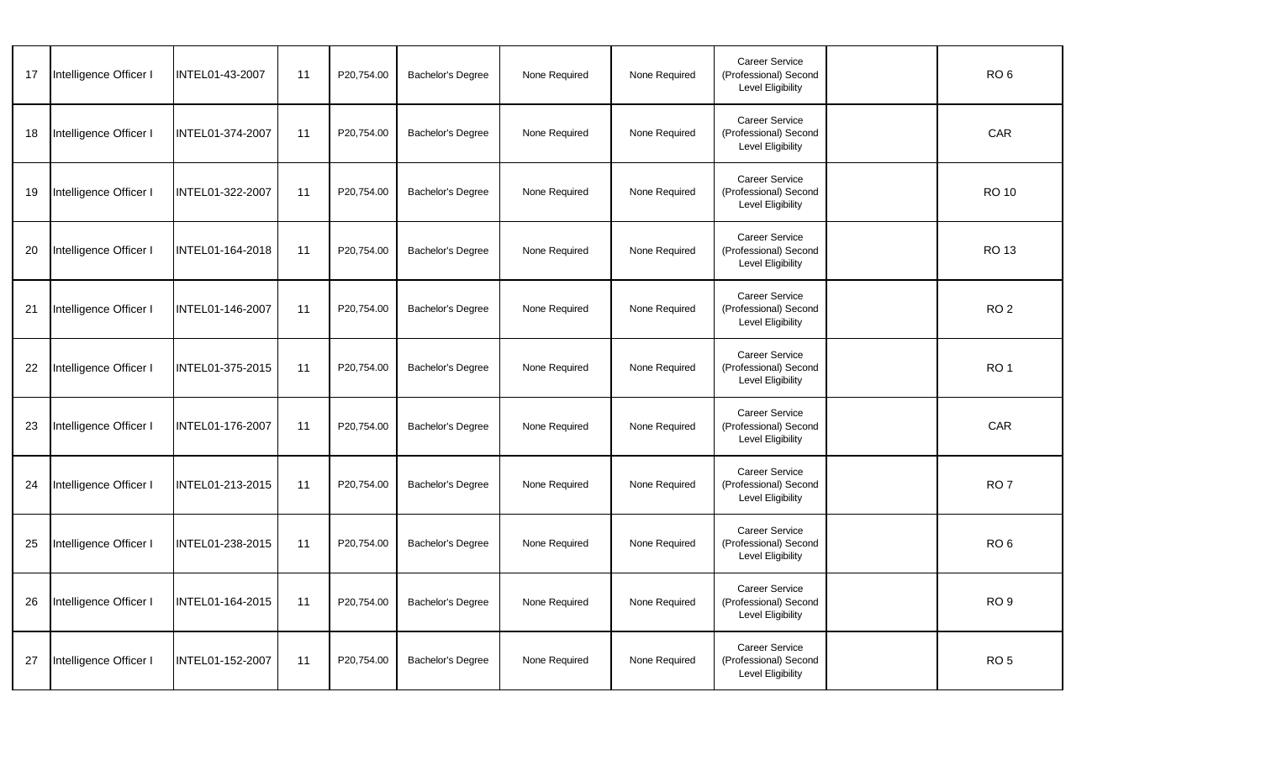| 17 | Intelligence Officer I | INTEL01-43-2007  | 11 | P20,754.00 | Bachelor's Degree        | None Required | None Required | <b>Career Service</b><br>(Professional) Second<br>Level Eligibility | RO <sub>6</sub> |
|----|------------------------|------------------|----|------------|--------------------------|---------------|---------------|---------------------------------------------------------------------|-----------------|
| 18 | Intelligence Officer I | INTEL01-374-2007 | 11 | P20,754.00 | Bachelor's Degree        | None Required | None Required | <b>Career Service</b><br>(Professional) Second<br>Level Eligibility | CAR             |
| 19 | Intelligence Officer I | INTEL01-322-2007 | 11 | P20,754.00 | <b>Bachelor's Degree</b> | None Required | None Required | <b>Career Service</b><br>(Professional) Second<br>Level Eligibility | <b>RO 10</b>    |
| 20 | Intelligence Officer I | INTEL01-164-2018 | 11 | P20,754.00 | <b>Bachelor's Degree</b> | None Required | None Required | <b>Career Service</b><br>(Professional) Second<br>Level Eligibility | <b>RO 13</b>    |
| 21 | Intelligence Officer I | INTEL01-146-2007 | 11 | P20,754.00 | <b>Bachelor's Degree</b> | None Required | None Required | Career Service<br>(Professional) Second<br><b>Level Eligibility</b> | RO <sub>2</sub> |
| 22 | Intelligence Officer I | INTEL01-375-2015 | 11 | P20,754.00 | <b>Bachelor's Degree</b> | None Required | None Required | Career Service<br>(Professional) Second<br>Level Eligibility        | RO <sub>1</sub> |
| 23 | Intelligence Officer I | INTEL01-176-2007 | 11 | P20,754.00 | <b>Bachelor's Degree</b> | None Required | None Required | Career Service<br>(Professional) Second<br><b>Level Eligibility</b> | CAR             |
| 24 | Intelligence Officer I | INTEL01-213-2015 | 11 | P20,754.00 | <b>Bachelor's Degree</b> | None Required | None Required | <b>Career Service</b><br>(Professional) Second<br>Level Eligibility | RO <sub>7</sub> |
| 25 | Intelligence Officer I | INTEL01-238-2015 | 11 | P20,754.00 | Bachelor's Degree        | None Required | None Required | <b>Career Service</b><br>(Professional) Second<br>Level Eligibility | RO <sub>6</sub> |
| 26 | Intelligence Officer I | INTEL01-164-2015 | 11 | P20,754.00 | Bachelor's Degree        | None Required | None Required | <b>Career Service</b><br>(Professional) Second<br>Level Eligibility | RO <sub>9</sub> |
| 27 | Intelligence Officer I | INTEL01-152-2007 | 11 | P20,754.00 | Bachelor's Degree        | None Required | None Required | <b>Career Service</b><br>(Professional) Second<br>Level Eligibility | RO <sub>5</sub> |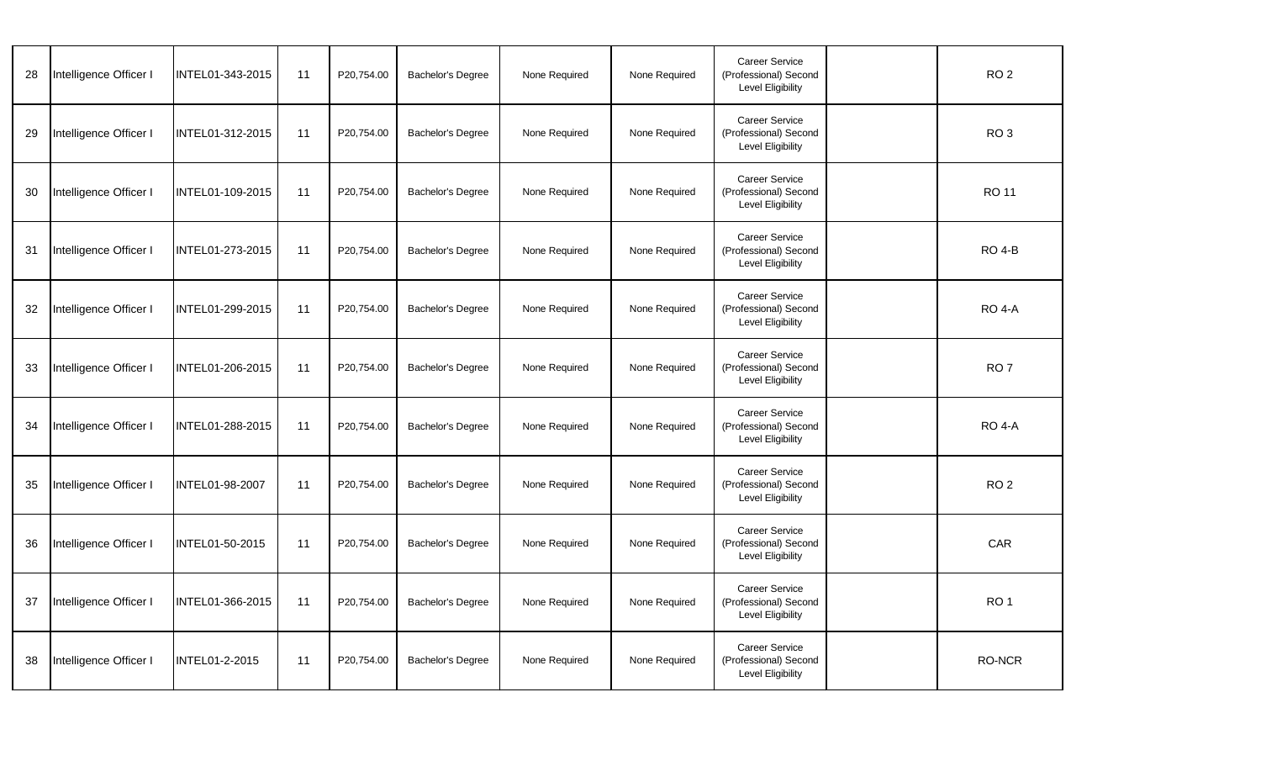| 28 | Intelligence Officer I | INTEL01-343-2015      | 11 | P20,754.00 | Bachelor's Degree        | None Required | None Required | <b>Career Service</b><br>(Professional) Second<br>Level Eligibility        | RO <sub>2</sub> |
|----|------------------------|-----------------------|----|------------|--------------------------|---------------|---------------|----------------------------------------------------------------------------|-----------------|
| 29 | Intelligence Officer I | INTEL01-312-2015      | 11 | P20,754.00 | <b>Bachelor's Degree</b> | None Required | None Required | <b>Career Service</b><br>(Professional) Second<br><b>Level Eligibility</b> | RO <sub>3</sub> |
| 30 | Intelligence Officer I | INTEL01-109-2015      | 11 | P20,754.00 | <b>Bachelor's Degree</b> | None Required | None Required | Career Service<br>(Professional) Second<br><b>Level Eligibility</b>        | <b>RO 11</b>    |
| 31 | Intelligence Officer I | INTEL01-273-2015      | 11 | P20,754.00 | Bachelor's Degree        | None Required | None Required | <b>Career Service</b><br>(Professional) Second<br><b>Level Eligibility</b> | <b>RO 4-B</b>   |
| 32 | Intelligence Officer I | INTEL01-299-2015      | 11 | P20,754.00 | <b>Bachelor's Degree</b> | None Required | None Required | <b>Career Service</b><br>(Professional) Second<br>Level Eligibility        | <b>RO 4-A</b>   |
| 33 | Intelligence Officer I | INTEL01-206-2015      | 11 | P20,754.00 | Bachelor's Degree        | None Required | None Required | Career Service<br>(Professional) Second<br>Level Eligibility               | RO <sub>7</sub> |
| 34 | Intelligence Officer I | INTEL01-288-2015      | 11 | P20,754.00 | <b>Bachelor's Degree</b> | None Required | None Required | <b>Career Service</b><br>(Professional) Second<br>Level Eligibility        | <b>RO 4-A</b>   |
| 35 | Intelligence Officer I | INTEL01-98-2007       | 11 | P20,754.00 | <b>Bachelor's Degree</b> | None Required | None Required | Career Service<br>(Professional) Second<br><b>Level Eligibility</b>        | RO <sub>2</sub> |
| 36 | Intelligence Officer I | INTEL01-50-2015       | 11 | P20.754.00 | Bachelor's Degree        | None Required | None Required | Career Service<br>(Professional) Second<br>Level Eligibility               | CAR             |
| 37 | Intelligence Officer I | INTEL01-366-2015      | 11 | P20,754.00 | <b>Bachelor's Degree</b> | None Required | None Required | <b>Career Service</b><br>(Professional) Second<br>Level Eligibility        | RO <sub>1</sub> |
| 38 | Intelligence Officer I | <b>INTEL01-2-2015</b> | 11 | P20,754.00 | Bachelor's Degree        | None Required | None Required | Career Service<br>(Professional) Second<br>Level Eligibility               | RO-NCR          |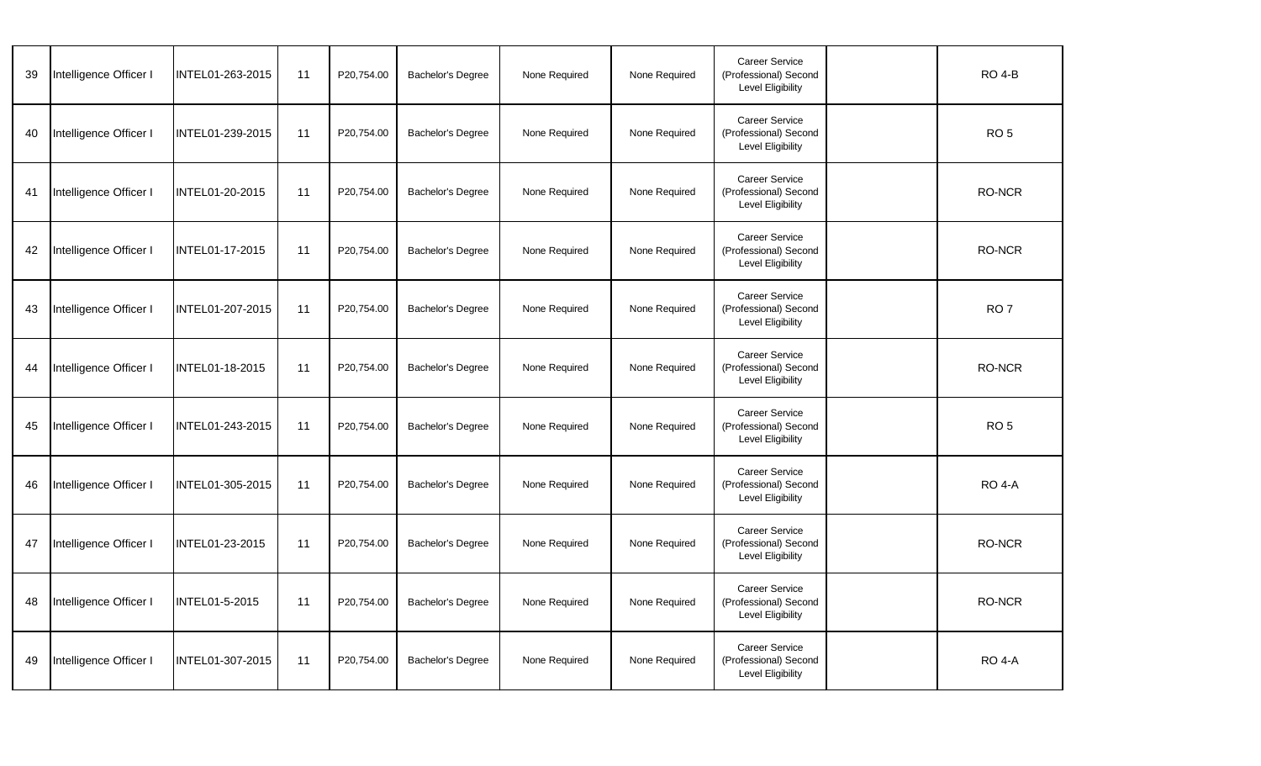| 39 | Intelligence Officer I | INTEL01-263-2015 | 11 | P20,754.00 | Bachelor's Degree        | None Required | None Required | <b>Career Service</b><br>(Professional) Second<br>Level Eligibility        | <b>RO 4-B</b>   |
|----|------------------------|------------------|----|------------|--------------------------|---------------|---------------|----------------------------------------------------------------------------|-----------------|
| 40 | Intelligence Officer I | INTEL01-239-2015 | 11 | P20,754.00 | <b>Bachelor's Degree</b> | None Required | None Required | <b>Career Service</b><br>(Professional) Second<br><b>Level Eligibility</b> | RO <sub>5</sub> |
| 41 | Intelligence Officer I | INTEL01-20-2015  | 11 | P20,754.00 | <b>Bachelor's Degree</b> | None Required | None Required | Career Service<br>(Professional) Second<br><b>Level Eligibility</b>        | RO-NCR          |
| 42 | Intelligence Officer I | INTEL01-17-2015  | 11 | P20,754.00 | Bachelor's Degree        | None Required | None Required | <b>Career Service</b><br>(Professional) Second<br><b>Level Eligibility</b> | <b>RO-NCR</b>   |
| 43 | Intelligence Officer I | INTEL01-207-2015 | 11 | P20,754.00 | Bachelor's Degree        | None Required | None Required | <b>Career Service</b><br>(Professional) Second<br>Level Eligibility        | RO <sub>7</sub> |
| 44 | Intelligence Officer I | INTEL01-18-2015  | 11 | P20,754.00 | Bachelor's Degree        | None Required | None Required | <b>Career Service</b><br>(Professional) Second<br><b>Level Eligibility</b> | <b>RO-NCR</b>   |
| 45 | Intelligence Officer I | INTEL01-243-2015 | 11 | P20,754.00 | <b>Bachelor's Degree</b> | None Required | None Required | <b>Career Service</b><br>(Professional) Second<br>Level Eligibility        | RO <sub>5</sub> |
| 46 | Intelligence Officer I | INTEL01-305-2015 | 11 | P20,754.00 | <b>Bachelor's Degree</b> | None Required | None Required | Career Service<br>(Professional) Second<br>Level Eligibility               | <b>RO 4-A</b>   |
| 47 | Intelligence Officer I | INTEL01-23-2015  | 11 | P20,754.00 | Bachelor's Degree        | None Required | None Required | <b>Career Service</b><br>(Professional) Second<br>Level Eligibility        | <b>RO-NCR</b>   |
| 48 | Intelligence Officer I | INTEL01-5-2015   | 11 | P20,754.00 | <b>Bachelor's Degree</b> | None Required | None Required | <b>Career Service</b><br>(Professional) Second<br>Level Eligibility        | <b>RO-NCR</b>   |
| 49 | Intelligence Officer I | INTEL01-307-2015 | 11 | P20,754.00 | Bachelor's Degree        | None Required | None Required | <b>Career Service</b><br>(Professional) Second<br>Level Eligibility        | <b>RO 4-A</b>   |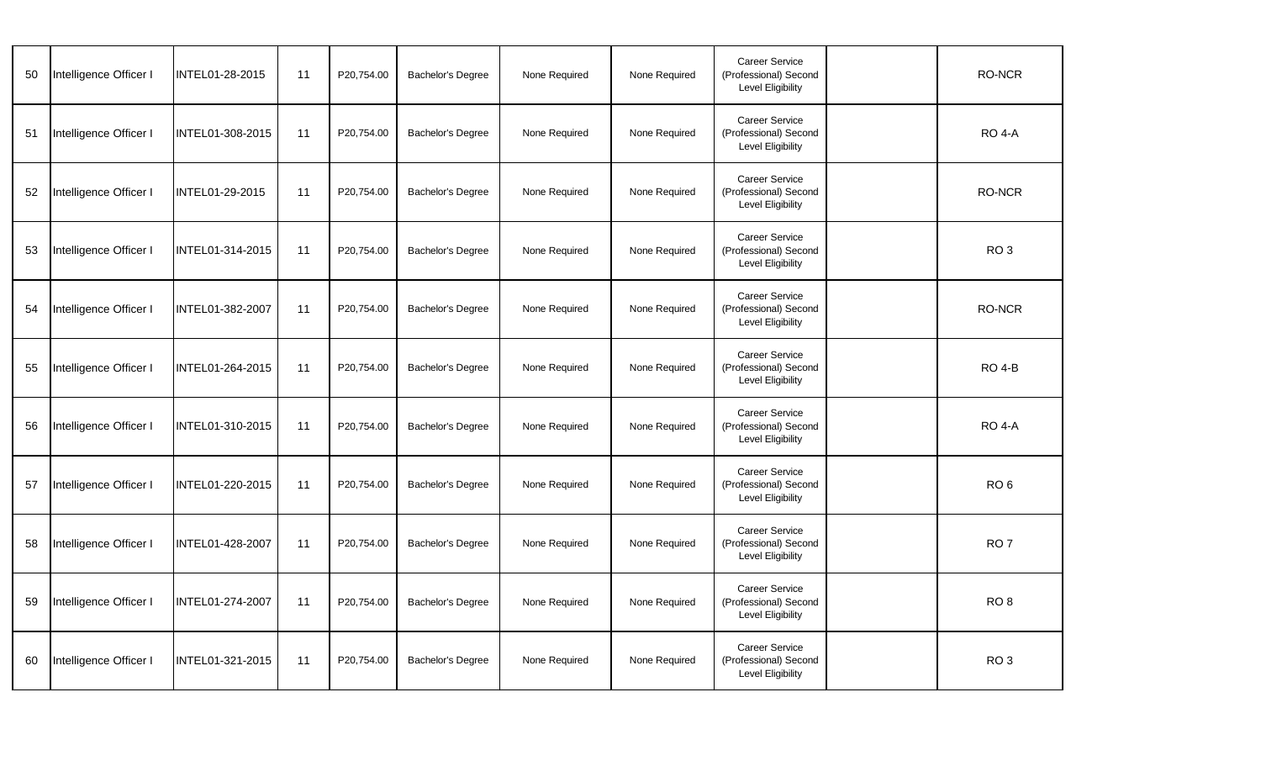| 50 | Intelligence Officer I | INTEL01-28-2015  | 11 | P20,754.00 | Bachelor's Degree        | None Required | None Required | <b>Career Service</b><br>(Professional) Second<br>Level Eligibility        | RO-NCR          |
|----|------------------------|------------------|----|------------|--------------------------|---------------|---------------|----------------------------------------------------------------------------|-----------------|
| 51 | Intelligence Officer I | INTEL01-308-2015 | 11 | P20,754.00 | <b>Bachelor's Degree</b> | None Required | None Required | <b>Career Service</b><br>(Professional) Second<br><b>Level Eligibility</b> | <b>RO 4-A</b>   |
| 52 | Intelligence Officer I | INTEL01-29-2015  | 11 | P20,754.00 | <b>Bachelor's Degree</b> | None Required | None Required | Career Service<br>(Professional) Second<br><b>Level Eligibility</b>        | RO-NCR          |
| 53 | Intelligence Officer I | INTEL01-314-2015 | 11 | P20,754.00 | Bachelor's Degree        | None Required | None Required | <b>Career Service</b><br>(Professional) Second<br><b>Level Eligibility</b> | RO <sub>3</sub> |
| 54 | Intelligence Officer I | INTEL01-382-2007 | 11 | P20,754.00 | <b>Bachelor's Degree</b> | None Required | None Required | <b>Career Service</b><br>(Professional) Second<br>Level Eligibility        | <b>RO-NCR</b>   |
| 55 | Intelligence Officer I | INTEL01-264-2015 | 11 | P20,754.00 | Bachelor's Degree        | None Required | None Required | <b>Career Service</b><br>(Professional) Second<br>Level Eligibility        | <b>RO 4-B</b>   |
| 56 | Intelligence Officer I | INTEL01-310-2015 | 11 | P20,754.00 | Bachelor's Degree        | None Required | None Required | <b>Career Service</b><br>(Professional) Second<br>Level Eligibility        | <b>RO 4-A</b>   |
| 57 | Intelligence Officer I | INTEL01-220-2015 | 11 | P20,754.00 | <b>Bachelor's Degree</b> | None Required | None Required | Career Service<br>(Professional) Second<br>Level Eligibility               | RO <sub>6</sub> |
| 58 | Intelligence Officer I | INTEL01-428-2007 | 11 | P20,754.00 | Bachelor's Degree        | None Required | None Required | <b>Career Service</b><br>(Professional) Second<br>Level Eligibility        | RO <sub>7</sub> |
| 59 | Intelligence Officer I | INTEL01-274-2007 | 11 | P20,754.00 | Bachelor's Degree        | None Required | None Required | <b>Career Service</b><br>(Professional) Second<br>Level Eligibility        | RO <sub>8</sub> |
| 60 | Intelligence Officer I | INTEL01-321-2015 | 11 | P20,754.00 | Bachelor's Degree        | None Required | None Required | <b>Career Service</b><br>(Professional) Second<br>Level Eligibility        | RO <sub>3</sub> |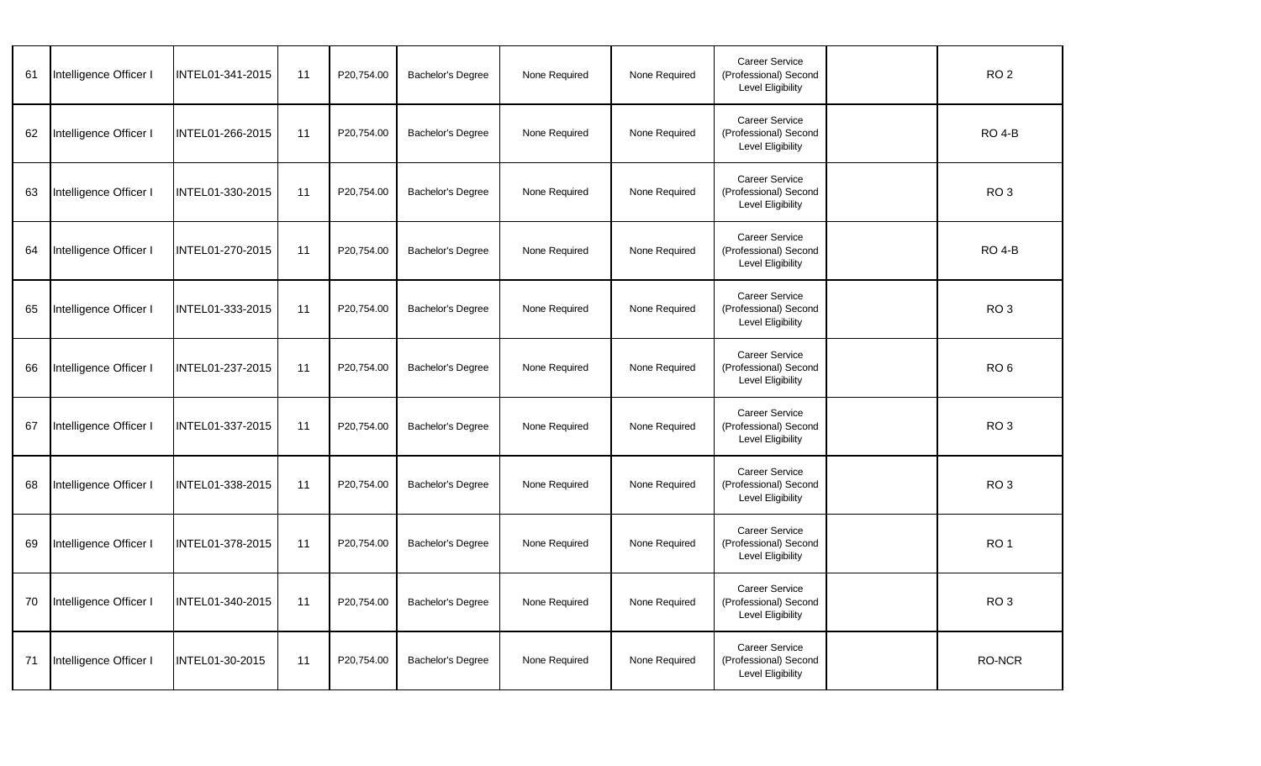| 61 | Intelligence Officer I | INTEL01-341-2015 | 11 | P20,754.00 | Bachelor's Degree        | None Required | None Required | <b>Career Service</b><br>(Professional) Second<br>Level Eligibility        | RO <sub>2</sub> |
|----|------------------------|------------------|----|------------|--------------------------|---------------|---------------|----------------------------------------------------------------------------|-----------------|
| 62 | Intelligence Officer I | INTEL01-266-2015 | 11 | P20,754.00 | <b>Bachelor's Degree</b> | None Required | None Required | <b>Career Service</b><br>(Professional) Second<br><b>Level Eligibility</b> | <b>RO 4-B</b>   |
| 63 | Intelligence Officer I | INTEL01-330-2015 | 11 | P20,754.00 | <b>Bachelor's Degree</b> | None Required | None Required | Career Service<br>(Professional) Second<br><b>Level Eligibility</b>        | RO <sub>3</sub> |
| 64 | Intelligence Officer I | INTEL01-270-2015 | 11 | P20,754.00 | Bachelor's Degree        | None Required | None Required | <b>Career Service</b><br>(Professional) Second<br><b>Level Eligibility</b> | <b>RO 4-B</b>   |
| 65 | Intelligence Officer I | INTEL01-333-2015 | 11 | P20,754.00 | <b>Bachelor's Degree</b> | None Required | None Required | <b>Career Service</b><br>(Professional) Second<br>Level Eligibility        | RO <sub>3</sub> |
| 66 | Intelligence Officer I | INTEL01-237-2015 | 11 | P20,754.00 | Bachelor's Degree        | None Required | None Required | <b>Career Service</b><br>(Professional) Second<br><b>Level Eligibility</b> | RO <sub>6</sub> |
| 67 | Intelligence Officer I | INTEL01-337-2015 | 11 | P20,754.00 | <b>Bachelor's Degree</b> | None Required | None Required | <b>Career Service</b><br>(Professional) Second<br><b>Level Eligibility</b> | RO <sub>3</sub> |
| 68 | Intelligence Officer I | INTEL01-338-2015 | 11 | P20,754.00 | <b>Bachelor's Degree</b> | None Required | None Required | Career Service<br>(Professional) Second<br><b>Level Eligibility</b>        | RO <sub>3</sub> |
| 69 | Intelligence Officer I | INTEL01-378-2015 | 11 | P20.754.00 | Bachelor's Degree        | None Required | None Required | <b>Career Service</b><br>(Professional) Second<br><b>Level Eligibility</b> | RO <sub>1</sub> |
| 70 | Intelligence Officer I | INTEL01-340-2015 | 11 | P20,754.00 | <b>Bachelor's Degree</b> | None Required | None Required | <b>Career Service</b><br>(Professional) Second<br><b>Level Eligibility</b> | RO <sub>3</sub> |
| 71 | Intelligence Officer I | INTEL01-30-2015  | 11 | P20,754.00 | Bachelor's Degree        | None Required | None Required | <b>Career Service</b><br>(Professional) Second<br><b>Level Eligibility</b> | RO-NCR          |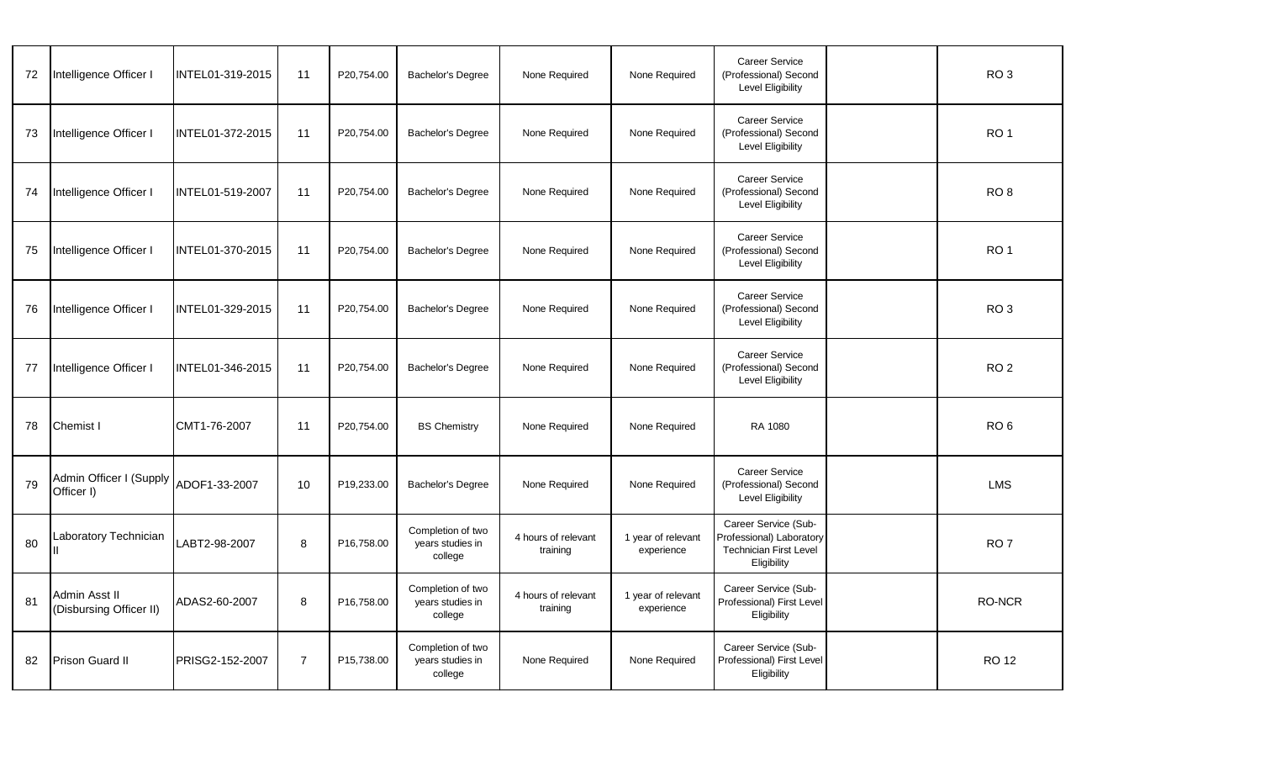| 72 | Intelligence Officer I                   | INTEL01-319-2015 | 11             | P20,754.00 | <b>Bachelor's Degree</b>                         | None Required                   | None Required                    | <b>Career Service</b><br>(Professional) Second<br><b>Level Eligibility</b>                       | RO <sub>3</sub> |
|----|------------------------------------------|------------------|----------------|------------|--------------------------------------------------|---------------------------------|----------------------------------|--------------------------------------------------------------------------------------------------|-----------------|
| 73 | Intelligence Officer I                   | INTEL01-372-2015 | 11             | P20,754.00 | <b>Bachelor's Degree</b>                         | None Required                   | None Required                    | <b>Career Service</b><br>(Professional) Second<br><b>Level Eligibility</b>                       | RO <sub>1</sub> |
| 74 | Intelligence Officer I                   | INTEL01-519-2007 | 11             | P20,754.00 | Bachelor's Degree                                | None Required                   | None Required                    | Career Service<br>(Professional) Second<br><b>Level Eligibility</b>                              | RO <sub>8</sub> |
| 75 | Intelligence Officer I                   | INTEL01-370-2015 | 11             | P20,754.00 | <b>Bachelor's Degree</b>                         | None Required                   | None Required                    | Career Service<br>(Professional) Second<br><b>Level Eligibility</b>                              | RO <sub>1</sub> |
| 76 | Intelligence Officer I                   | INTEL01-329-2015 | 11             | P20,754.00 | Bachelor's Degree                                | None Required                   | None Required                    | Career Service<br>(Professional) Second<br><b>Level Eligibility</b>                              | RO <sub>3</sub> |
| 77 | Intelligence Officer I                   | INTEL01-346-2015 | 11             | P20,754.00 | <b>Bachelor's Degree</b>                         | None Required                   | None Required                    | Career Service<br>(Professional) Second<br>Level Eligibility                                     | RO <sub>2</sub> |
| 78 | <b>Chemist I</b>                         | CMT1-76-2007     | 11             | P20,754.00 | <b>BS Chemistry</b>                              | None Required                   | None Required                    | RA 1080                                                                                          | RO <sub>6</sub> |
| 79 | Admin Officer I (Supply<br>Officer I)    | ADOF1-33-2007    | 10             | P19,233.00 | <b>Bachelor's Degree</b>                         | None Required                   | None Required                    | Career Service<br>(Professional) Second<br><b>Level Eligibility</b>                              | <b>LMS</b>      |
| 80 | Laboratory Technician                    | LABT2-98-2007    | 8              | P16,758.00 | Completion of two<br>years studies in<br>college | 4 hours of relevant<br>training | 1 year of relevant<br>experience | Career Service (Sub-<br>Professional) Laboratory<br><b>Technician First Level</b><br>Eligibility | RO <sub>7</sub> |
| 81 | Admin Asst II<br>(Disbursing Officer II) | ADAS2-60-2007    | 8              | P16,758.00 | Completion of two<br>vears studies in<br>college | 4 hours of relevant<br>training | 1 year of relevant<br>experience | Career Service (Sub-<br>Professional) First Level<br>Eligibility                                 | <b>RO-NCR</b>   |
| 82 | <b>Prison Guard II</b>                   | PRISG2-152-2007  | $\overline{7}$ | P15,738.00 | Completion of two<br>years studies in<br>college | None Required                   | None Required                    | Career Service (Sub-<br>Professional) First Level<br>Eligibility                                 | <b>RO 12</b>    |